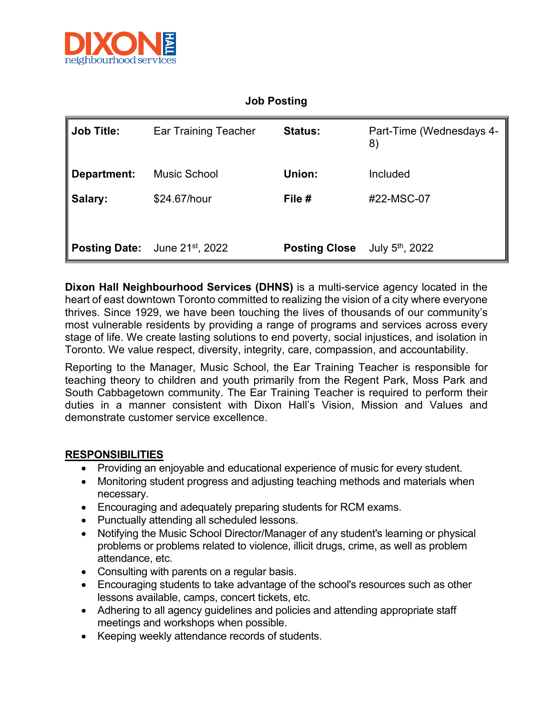

## **Job Posting**

| Job Title: <b>I</b> | <b>Ear Training Teacher</b> | <b>Status:</b>       | Part-Time (Wednesdays 4-<br>8) |
|---------------------|-----------------------------|----------------------|--------------------------------|
| Department:         | Music School                | Union:               | Included                       |
| Salary:             | \$24.67/hour                | File #               | #22-MSC-07                     |
|                     |                             |                      |                                |
| Posting Date:       | June 21st, 2022             | <b>Posting Close</b> | July $5^{\text{th}}$ , 2022    |

**Dixon Hall Neighbourhood Services (DHNS)** is a multi-service agency located in the heart of east downtown Toronto committed to realizing the vision of a city where everyone thrives. Since 1929, we have been touching the lives of thousands of our community's most vulnerable residents by providing a range of programs and services across every stage of life. We create lasting solutions to end poverty, social injustices, and isolation in Toronto. We value respect, diversity, integrity, care, compassion, and accountability.

Reporting to the Manager, Music School, the Ear Training Teacher is responsible for teaching theory to children and youth primarily from the Regent Park, Moss Park and South Cabbagetown community. The Ear Training Teacher is required to perform their duties in a manner consistent with Dixon Hall's Vision, Mission and Values and demonstrate customer service excellence.

## **RESPONSIBILITIES**

- Providing an enjoyable and educational experience of music for every student.
- Monitoring student progress and adjusting teaching methods and materials when necessary.
- Encouraging and adequately preparing students for RCM exams.
- Punctually attending all scheduled lessons.
- Notifying the Music School Director/Manager of any student's learning or physical problems or problems related to violence, illicit drugs, crime, as well as problem attendance, etc.
- Consulting with parents on a regular basis.
- Encouraging students to take advantage of the school's resources such as other lessons available, camps, concert tickets, etc.
- Adhering to all agency guidelines and policies and attending appropriate staff meetings and workshops when possible.
- Keeping weekly attendance records of students.